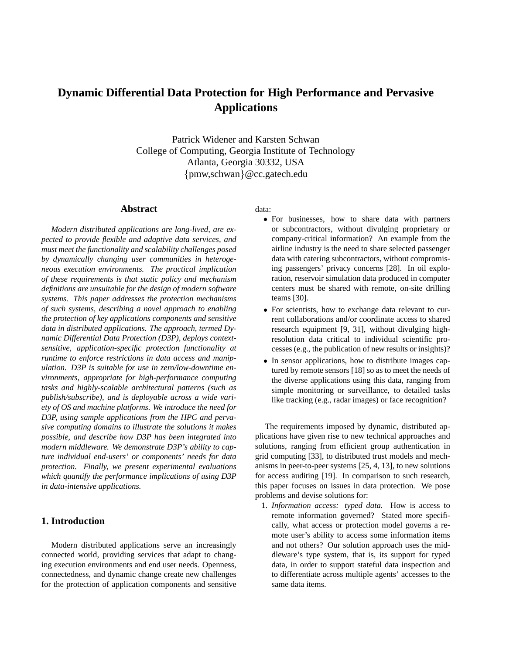# **Dynamic Differential Data Protection for High Performance and Pervasive Applications**

Patrick Widener and Karsten Schwan College of Computing, Georgia Institute of Technology Atlanta, Georgia 30332, USA {pmw,schwan}@cc.gatech.edu

# **Abstract**

*Modern distributed applications are long-lived, are expected to provide flexible and adaptive data services, and must meet the functionality and scalability challenges posed by dynamically changing user communities in heterogeneous execution environments. The practical implication of these requirements is that static policy and mechanism definitions are unsuitable for the design of modern software systems. This paper addresses the protection mechanisms of such systems, describing a novel approach to enabling the protection of key applications components and sensitive data in distributed applications. The approach, termed Dynamic Differential Data Protection (D3P), deploys contextsensitive, application-specific protection functionality at runtime to enforce restrictions in data access and manipulation. D3P is suitable for use in zero/low-downtime environments, appropriate for high-performance computing tasks and highly-scalable architectural patterns (such as publish/subscribe), and is deployable across a wide variety of OS and machine platforms. We introduce the need for D3P, using sample applications from the HPC and pervasive computing domains to illustrate the solutions it makes possible, and describe how D3P has been integrated into modern middleware. We demonstrate D3P's ability to capture individual end-users' or components' needs for data protection. Finally, we present experimental evaluations which quantify the performance implications of using D3P in data-intensive applications.*

# **1. Introduction**

Modern distributed applications serve an increasingly connected world, providing services that adapt to changing execution environments and end user needs. Openness, connectedness, and dynamic change create new challenges for the protection of application components and sensitive data:

- For businesses, how to share data with partners or subcontractors, without divulging proprietary or company-critical information? An example from the airline industry is the need to share selected passenger data with catering subcontractors, without compromising passengers' privacy concerns [28]. In oil exploration, reservoir simulation data produced in computer centers must be shared with remote, on-site drilling teams [30].
- For scientists, how to exchange data relevant to current collaborations and/or coordinate access to shared research equipment [9, 31], without divulging highresolution data critical to individual scientific processes (e.g., the publication of new results or insights)?
- In sensor applications, how to distribute images captured by remote sensors [18] so as to meet the needs of the diverse applications using this data, ranging from simple monitoring or surveillance, to detailed tasks like tracking (e.g., radar images) or face recognition?

The requirements imposed by dynamic, distributed applications have given rise to new technical approaches and solutions, ranging from efficient group authentication in grid computing [33], to distributed trust models and mechanisms in peer-to-peer systems [25, 4, 13], to new solutions for access auditing [19]. In comparison to such research, this paper focuses on issues in data protection. We pose problems and devise solutions for:

1. *Information access: typed data.* How is access to remote information governed? Stated more specifically, what access or protection model governs a remote user's ability to access some information items and not others? Our solution approach uses the middleware's type system, that is, its support for typed data, in order to support stateful data inspection and to differentiate across multiple agents' accesses to the same data items.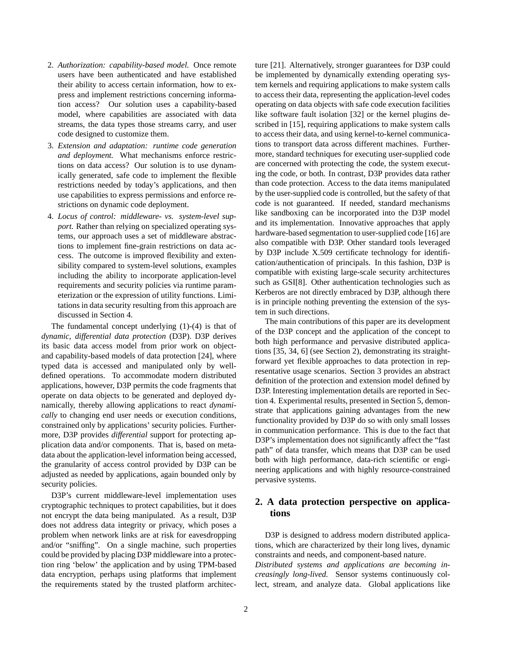- 2. *Authorization: capability-based model.* Once remote users have been authenticated and have established their ability to access certain information, how to express and implement restrictions concerning information access? Our solution uses a capability-based model, where capabilities are associated with data streams, the data types those streams carry, and user code designed to customize them.
- 3. *Extension and adaptation: runtime code generation and deployment.* What mechanisms enforce restrictions on data access? Our solution is to use dynamically generated, safe code to implement the flexible restrictions needed by today's applications, and then use capabilities to express permissions and enforce restrictions on dynamic code deployment.
- 4. *Locus of control: middleware- vs. system-level support.* Rather than relying on specialized operating systems, our approach uses a set of middleware abstractions to implement fine-grain restrictions on data access. The outcome is improved flexibility and extensibility compared to system-level solutions, examples including the ability to incorporate application-level requirements and security policies via runtime parameterization or the expression of utility functions. Limitations in data security resulting from this approach are discussed in Section 4.

The fundamental concept underlying (1)-(4) is that of *dynamic, differential data protection* (D3P). D3P derives its basic data access model from prior work on objectand capability-based models of data protection [24], where typed data is accessed and manipulated only by welldefined operations. To accommodate modern distributed applications, however, D3P permits the code fragments that operate on data objects to be generated and deployed dynamically, thereby allowing applications to react *dynamically* to changing end user needs or execution conditions, constrained only by applications' security policies. Furthermore, D3P provides *differential* support for protecting application data and/or components. That is, based on metadata about the application-level information being accessed, the granularity of access control provided by D3P can be adjusted as needed by applications, again bounded only by security policies.

D3P's current middleware-level implementation uses cryptographic techniques to protect capabilities, but it does not encrypt the data being manipulated. As a result, D3P does not address data integrity or privacy, which poses a problem when network links are at risk for eavesdropping and/or "sniffing". On a single machine, such properties could be provided by placing D3P middleware into a protection ring 'below' the application and by using TPM-based data encryption, perhaps using platforms that implement the requirements stated by the trusted platform architecture [21]. Alternatively, stronger guarantees for D3P could be implemented by dynamically extending operating system kernels and requiring applications to make system calls to access their data, representing the application-level codes operating on data objects with safe code execution facilities like software fault isolation [32] or the kernel plugins described in [15], requiring applications to make system calls to access their data, and using kernel-to-kernel communications to transport data across different machines. Furthermore, standard techniques for executing user-supplied code are concerned with protecting the code, the system executing the code, or both. In contrast, D3P provides data rather than code protection. Access to the data items manipulated by the user-supplied code is controlled, but the safety of that code is not guaranteed. If needed, standard mechanisms like sandboxing can be incorporated into the D3P model and its implementation. Innovative approaches that apply hardware-based segmentation to user-supplied code [16] are also compatible with D3P. Other standard tools leveraged by D3P include X.509 certificate technology for identification/authentication of principals. In this fashion, D3P is compatible with existing large-scale security architectures such as GSI[8]. Other authentication technologies such as Kerberos are not directly embraced by D3P, although there is in principle nothing preventing the extension of the system in such directions.

The main contributions of this paper are its development of the D3P concept and the application of the concept to both high performance and pervasive distributed applications [35, 34, 6] (see Section 2), demonstrating its straightforward yet flexible approaches to data protection in representative usage scenarios. Section 3 provides an abstract definition of the protection and extension model defined by D3P. Interesting implementation details are reported in Section 4. Experimental results, presented in Section 5, demonstrate that applications gaining advantages from the new functionality provided by D3P do so with only small losses in communication performance. This is due to the fact that D3P's implementation does not significantly affect the "fast path" of data transfer, which means that D3P can be used both with high performance, data-rich scientific or engineering applications and with highly resource-constrained pervasive systems.

# **2. A data protection perspective on applications**

D3P is designed to address modern distributed applications, which are characterized by their long lives, dynamic constraints and needs, and component-based nature.

*Distributed systems and applications are becoming increasingly long-lived.* Sensor systems continuously collect, stream, and analyze data. Global applications like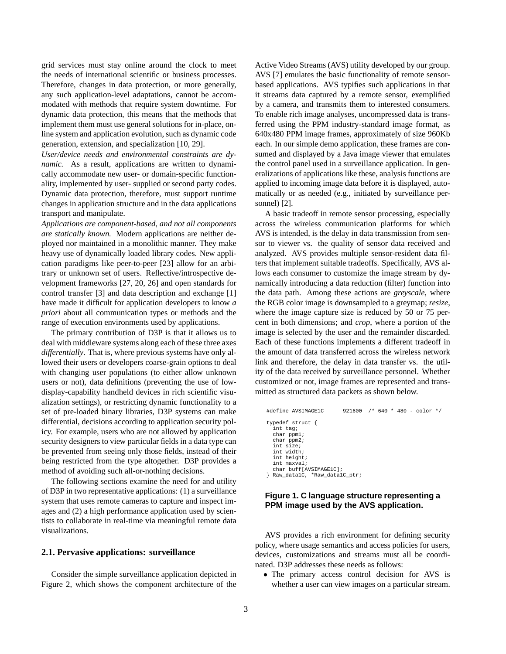grid services must stay online around the clock to meet the needs of international scientific or business processes. Therefore, changes in data protection, or more generally, any such application-level adaptations, cannot be accommodated with methods that require system downtime. For dynamic data protection, this means that the methods that implement them must use general solutions for in-place, online system and application evolution, such as dynamic code generation, extension, and specialization [10, 29].

*User/device needs and environmental constraints are dynamic.* As a result, applications are written to dynamically accommodate new user- or domain-specific functionality, implemented by user- supplied or second party codes. Dynamic data protection, therefore, must support runtime changes in application structure and in the data applications transport and manipulate.

*Applications are component-based, and not all components are statically known.* Modern applications are neither deployed nor maintained in a monolithic manner. They make heavy use of dynamically loaded library codes. New application paradigms like peer-to-peer [23] allow for an arbitrary or unknown set of users. Reflective/introspective development frameworks [27, 20, 26] and open standards for control transfer [3] and data description and exchange [1] have made it difficult for application developers to know *a priori* about all communication types or methods and the range of execution environments used by applications.

The primary contribution of D3P is that it allows us to deal with middleware systems along each of these three axes *differentially*. That is, where previous systems have only allowed their users or developers coarse-grain options to deal with changing user populations (to either allow unknown users or not), data definitions (preventing the use of lowdisplay-capability handheld devices in rich scientific visualization settings), or restricting dynamic functionality to a set of pre-loaded binary libraries, D3P systems can make differential, decisions according to application security policy. For example, users who are not allowed by application security designers to view particular fields in a data type can be prevented from seeing only those fields, instead of their being restricted from the type altogether. D3P provides a method of avoiding such all-or-nothing decisions.

The following sections examine the need for and utility of D3P in two representative applications: (1) a surveillance system that uses remote cameras to capture and inspect images and (2) a high performance application used by scientists to collaborate in real-time via meaningful remote data visualizations.

### **2.1. Pervasive applications: surveillance**

Consider the simple surveillance application depicted in Figure 2, which shows the component architecture of the

Active Video Streams (AVS) utility developed by our group. AVS [7] emulates the basic functionality of remote sensorbased applications. AVS typifies such applications in that it streams data captured by a remote sensor, exemplified by a camera, and transmits them to interested consumers. To enable rich image analyses, uncompressed data is transferred using the PPM industry-standard image format, as 640x480 PPM image frames, approximately of size 960Kb each. In our simple demo application, these frames are consumed and displayed by a Java image viewer that emulates the control panel used in a surveillance application. In generalizations of applications like these, analysis functions are applied to incoming image data before it is displayed, automatically or as needed (e.g., initiated by surveillance personnel) [2].

A basic tradeoff in remote sensor processing, especially across the wireless communication platforms for which AVS is intended, is the delay in data transmission from sensor to viewer vs. the quality of sensor data received and analyzed. AVS provides multiple sensor-resident data filters that implement suitable tradeoffs. Specifically, AVS allows each consumer to customize the image stream by dynamically introducing a data reduction (filter) function into the data path. Among these actions are *greyscale*, where the RGB color image is downsampled to a greymap; *resize*, where the image capture size is reduced by 50 or 75 percent in both dimensions; and *crop*, where a portion of the image is selected by the user and the remainder discarded. Each of these functions implements a different tradeoff in the amount of data transferred across the wireless network link and therefore, the delay in data transfer vs. the utility of the data received by surveillance personnel. Whether customized or not, image frames are represented and transmitted as structured data packets as shown below.

```
#define AVSIMAGE1C 921600 /* 640 * 480 - color */
typedef struct {
   int tag;
   char ppm1;
   char ppm2;
 int size;
 int width;
   int height;
   int maxval;
  char buff[AVSIMAGE1C];
} Raw_data1C, *Raw_data1C_ptr;
```
# **Figure 1. C language structure representing a PPM image used by the AVS application.**

AVS provides a rich environment for defining security policy, where usage semantics and access policies for users, devices, customizations and streams must all be coordinated. D3P addresses these needs as follows:

• The primary access control decision for AVS is whether a user can view images on a particular stream.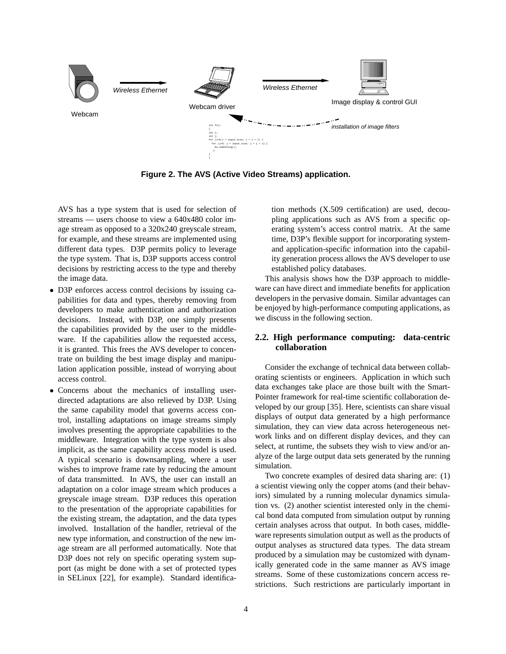

**Figure 2. The AVS (Active Video Streams) application.**

AVS has a type system that is used for selection of streams — users choose to view a 640x480 color image stream as opposed to a 320x240 greyscale stream, for example, and these streams are implemented using different data types. D3P permits policy to leverage the type system. That is, D3P supports access control decisions by restricting access to the type and thereby the image data.

- D3P enforces access control decisions by issuing capabilities for data and types, thereby removing from developers to make authentication and authorization decisions. Instead, with D3P, one simply presents the capabilities provided by the user to the middleware. If the capabilities allow the requested access, it is granted. This frees the AVS developer to concentrate on building the best image display and manipulation application possible, instead of worrying about access control.
- Concerns about the mechanics of installing userdirected adaptations are also relieved by D3P. Using the same capability model that governs access control, installing adaptations on image streams simply involves presenting the appropriate capabilities to the middleware. Integration with the type system is also implicit, as the same capability access model is used. A typical scenario is downsampling, where a user wishes to improve frame rate by reducing the amount of data transmitted. In AVS, the user can install an adaptation on a color image stream which produces a greyscale image stream. D3P reduces this operation to the presentation of the appropriate capabilities for the existing stream, the adaptation, and the data types involved. Installation of the handler, retrieval of the new type information, and construction of the new image stream are all performed automatically. Note that D3P does not rely on specific operating system support (as might be done with a set of protected types in SELinux [22], for example). Standard identifica-

tion methods (X.509 certification) are used, decoupling applications such as AVS from a specific operating system's access control matrix. At the same time, D3P's flexible support for incorporating systemand application-specific information into the capability generation process allows the AVS developer to use established policy databases.

This analysis shows how the D3P approach to middleware can have direct and immediate benefits for application developers in the pervasive domain. Similar advantages can be enjoyed by high-performance computing applications, as we discuss in the following section.

### **2.2. High performance computing: data-centric collaboration**

Consider the exchange of technical data between collaborating scientists or engineers. Application in which such data exchanges take place are those built with the Smart-Pointer framework for real-time scientific collaboration developed by our group [35]. Here, scientists can share visual displays of output data generated by a high performance simulation, they can view data across heterogeneous network links and on different display devices, and they can select, at runtime, the subsets they wish to view and/or analyze of the large output data sets generated by the running simulation.

Two concrete examples of desired data sharing are: (1) a scientist viewing only the copper atoms (and their behaviors) simulated by a running molecular dynamics simulation vs. (2) another scientist interested only in the chemical bond data computed from simulation output by running certain analyses across that output. In both cases, middleware represents simulation output as well as the products of output analyses as structured data types. The data stream produced by a simulation may be customized with dynamically generated code in the same manner as AVS image streams. Some of these customizations concern access restrictions. Such restrictions are particularly important in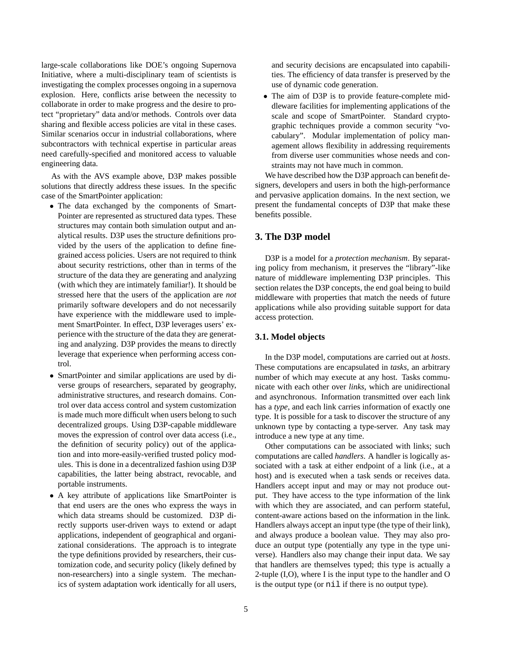large-scale collaborations like DOE's ongoing Supernova Initiative, where a multi-disciplinary team of scientists is investigating the complex processes ongoing in a supernova explosion. Here, conflicts arise between the necessity to collaborate in order to make progress and the desire to protect "proprietary" data and/or methods. Controls over data sharing and flexible access policies are vital in these cases. Similar scenarios occur in industrial collaborations, where subcontractors with technical expertise in particular areas need carefully-specified and monitored access to valuable engineering data.

As with the AVS example above, D3P makes possible solutions that directly address these issues. In the specific case of the SmartPointer application:

- The data exchanged by the components of Smart-Pointer are represented as structured data types. These structures may contain both simulation output and analytical results. D3P uses the structure definitions provided by the users of the application to define finegrained access policies. Users are not required to think about security restrictions, other than in terms of the structure of the data they are generating and analyzing (with which they are intimately familiar!). It should be stressed here that the users of the application are *not* primarily software developers and do not necessarily have experience with the middleware used to implement SmartPointer. In effect, D3P leverages users' experience with the structure of the data they are generating and analyzing. D3P provides the means to directly leverage that experience when performing access control.
- SmartPointer and similar applications are used by diverse groups of researchers, separated by geography, administrative structures, and research domains. Control over data access control and system customization is made much more difficult when users belong to such decentralized groups. Using D3P-capable middleware moves the expression of control over data access (i.e., the definition of security policy) out of the application and into more-easily-verified trusted policy modules. This is done in a decentralized fashion using D3P capabilities, the latter being abstract, revocable, and portable instruments.
- A key attribute of applications like SmartPointer is that end users are the ones who express the ways in which data streams should be customized. D3P directly supports user-driven ways to extend or adapt applications, independent of geographical and organizational considerations. The approach is to integrate the type definitions provided by researchers, their customization code, and security policy (likely defined by non-researchers) into a single system. The mechanics of system adaptation work identically for all users,

and security decisions are encapsulated into capabilities. The efficiency of data transfer is preserved by the use of dynamic code generation.

• The aim of D3P is to provide feature-complete middleware facilities for implementing applications of the scale and scope of SmartPointer. Standard cryptographic techniques provide a common security "vocabulary". Modular implementation of policy management allows flexibility in addressing requirements from diverse user communities whose needs and constraints may not have much in common.

We have described how the D3P approach can benefit designers, developers and users in both the high-performance and pervasive application domains. In the next section, we present the fundamental concepts of D3P that make these benefits possible.

# **3. The D3P model**

D3P is a model for a *protection mechanism*. By separating policy from mechanism, it preserves the "library"-like nature of middleware implementing D3P principles. This section relates the D3P concepts, the end goal being to build middleware with properties that match the needs of future applications while also providing suitable support for data access protection.

### **3.1. Model objects**

In the D3P model, computations are carried out at *hosts*. These computations are encapsulated in *tasks*, an arbitrary number of which may execute at any host. Tasks communicate with each other over *links*, which are unidirectional and asynchronous. Information transmitted over each link has a *type*, and each link carries information of exactly one type. It is possible for a task to discover the structure of any unknown type by contacting a type-server. Any task may introduce a new type at any time.

Other computations can be associated with links; such computations are called *handlers*. A handler is logically associated with a task at either endpoint of a link (i.e., at a host) and is executed when a task sends or receives data. Handlers accept input and may or may not produce output. They have access to the type information of the link with which they are associated, and can perform stateful, content-aware actions based on the information in the link. Handlers always accept an input type (the type of their link), and always produce a boolean value. They may also produce an output type (potentially any type in the type universe). Handlers also may change their input data. We say that handlers are themselves typed; this type is actually a 2-tuple (I,O), where I is the input type to the handler and O is the output type (or nil if there is no output type).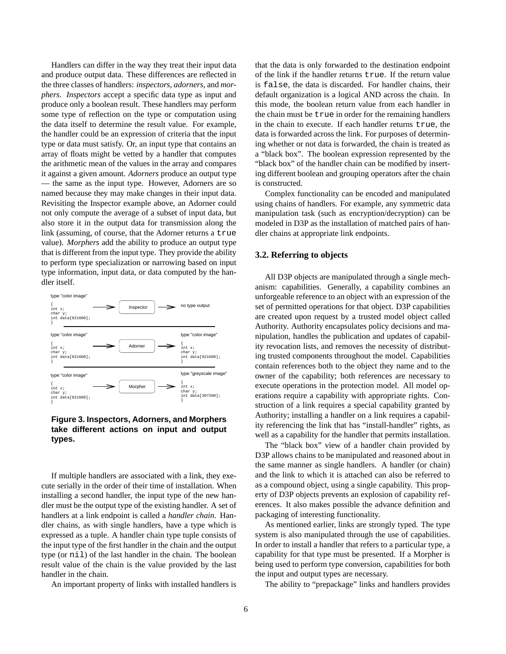Handlers can differ in the way they treat their input data and produce output data. These differences are reflected in the three classes of handlers: *inspectors*, *adorners*, and *morphers*. *Inspectors* accept a specific data type as input and produce only a boolean result. These handlers may perform some type of reflection on the type or computation using the data itself to determine the result value. For example, the handler could be an expression of criteria that the input type or data must satisfy. Or, an input type that contains an array of floats might be vetted by a handler that computes the arithmetic mean of the values in the array and compares it against a given amount. *Adorners* produce an output type — the same as the input type. However, Adorners are so named because they may make changes in their input data. Revisiting the Inspector example above, an Adorner could not only compute the average of a subset of input data, but also store it in the output data for transmission along the link (assuming, of course, that the Adorner returns a true value). *Morphers* add the ability to produce an output type that is different from the input type. They provide the ability to perform type specialization or narrowing based on input type information, input data, or data computed by the handler itself.



# **Figure 3. Inspectors, Adorners, and Morphers take different actions on input and output types.**

If multiple handlers are associated with a link, they execute serially in the order of their time of installation. When installing a second handler, the input type of the new handler must be the output type of the existing handler. A set of handlers at a link endpoint is called a *handler chain*. Handler chains, as with single handlers, have a type which is expressed as a tuple. A handler chain type tuple consists of the input type of the first handler in the chain and the output type (or nil) of the last handler in the chain. The boolean result value of the chain is the value provided by the last handler in the chain.

An important property of links with installed handlers is

that the data is only forwarded to the destination endpoint of the link if the handler returns true. If the return value is false, the data is discarded. For handler chains, their default organization is a logical AND across the chain. In this mode, the boolean return value from each handler in the chain must be true in order for the remaining handlers in the chain to execute. If each handler returns true, the data is forwarded across the link. For purposes of determining whether or not data is forwarded, the chain is treated as a "black box". The boolean expression represented by the "black box" of the handler chain can be modified by inserting different boolean and grouping operators after the chain is constructed.

Complex functionality can be encoded and manipulated using chains of handlers. For example, any symmetric data manipulation task (such as encryption/decryption) can be modeled in D3P as the installation of matched pairs of handler chains at appropriate link endpoints.

### **3.2. Referring to objects**

All D3P objects are manipulated through a single mechanism: capabilities. Generally, a capability combines an unforgeable reference to an object with an expression of the set of permitted operations for that object. D3P capabilities are created upon request by a trusted model object called Authority. Authority encapsulates policy decisions and manipulation, handles the publication and updates of capability revocation lists, and removes the necessity of distributing trusted components throughout the model. Capabilities contain references both to the object they name and to the owner of the capability; both references are necessary to execute operations in the protection model. All model operations require a capability with appropriate rights. Construction of a link requires a special capability granted by Authority; installing a handler on a link requires a capability referencing the link that has "install-handler" rights, as well as a capability for the handler that permits installation.

The "black box" view of a handler chain provided by D3P allows chains to be manipulated and reasoned about in the same manner as single handlers. A handler (or chain) and the link to which it is attached can also be referred to as a compound object, using a single capability. This property of D3P objects prevents an explosion of capability references. It also makes possible the advance definition and packaging of interesting functionality.

As mentioned earlier, links are strongly typed. The type system is also manipulated through the use of capabilities. In order to install a handler that refers to a particular type, a capability for that type must be presented. If a Morpher is being used to perform type conversion, capabilities for both the input and output types are necessary.

The ability to "prepackage" links and handlers provides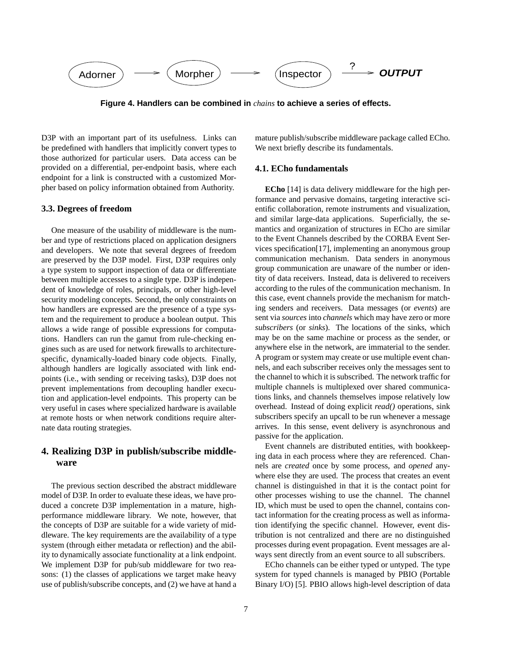

**Figure 4. Handlers can be combined in** *chains* **to achieve a series of effects.**

D3P with an important part of its usefulness. Links can be predefined with handlers that implicitly convert types to those authorized for particular users. Data access can be provided on a differential, per-endpoint basis, where each endpoint for a link is constructed with a customized Morpher based on policy information obtained from Authority.

### **3.3. Degrees of freedom**

One measure of the usability of middleware is the number and type of restrictions placed on application designers and developers. We note that several degrees of freedom are preserved by the D3P model. First, D3P requires only a type system to support inspection of data or differentiate between multiple accesses to a single type. D3P is independent of knowledge of roles, principals, or other high-level security modeling concepts. Second, the only constraints on how handlers are expressed are the presence of a type system and the requirement to produce a boolean output. This allows a wide range of possible expressions for computations. Handlers can run the gamut from rule-checking engines such as are used for network firewalls to architecturespecific, dynamically-loaded binary code objects. Finally, although handlers are logically associated with link endpoints (i.e., with sending or receiving tasks), D3P does not prevent implementations from decoupling handler execution and application-level endpoints. This property can be very useful in cases where specialized hardware is available at remote hosts or when network conditions require alternate data routing strategies.

# **4. Realizing D3P in publish/subscribe middleware**

The previous section described the abstract middleware model of D3P. In order to evaluate these ideas, we have produced a concrete D3P implementation in a mature, highperformance middleware library. We note, however, that the concepts of D3P are suitable for a wide variety of middleware. The key requirements are the availability of a type system (through either metadata or reflection) and the ability to dynamically associate functionality at a link endpoint. We implement D3P for pub/sub middleware for two reasons: (1) the classes of applications we target make heavy use of publish/subscribe concepts, and (2) we have at hand a mature publish/subscribe middleware package called ECho. We next briefly describe its fundamentals.

### **4.1. ECho fundamentals**

**ECho** [14] is data delivery middleware for the high performance and pervasive domains, targeting interactive scientific collaboration, remote instruments and visualization, and similar large-data applications. Superficially, the semantics and organization of structures in ECho are similar to the Event Channels described by the CORBA Event Services specification[17], implementing an anonymous group communication mechanism. Data senders in anonymous group communication are unaware of the number or identity of data receivers. Instead, data is delivered to receivers according to the rules of the communication mechanism. In this case, event channels provide the mechanism for matching senders and receivers. Data messages (or *events*) are sent via *sources* into *channels* which may have zero or more *subscribers* (or *sinks*). The locations of the sinks, which may be on the same machine or process as the sender, or anywhere else in the network, are immaterial to the sender. A program or system may create or use multiple event channels, and each subscriber receives only the messages sent to the channel to which it is subscribed. The network traffic for multiple channels is multiplexed over shared communications links, and channels themselves impose relatively low overhead. Instead of doing explicit *read()* operations, sink subscribers specify an upcall to be run whenever a message arrives. In this sense, event delivery is asynchronous and passive for the application.

Event channels are distributed entities, with bookkeeping data in each process where they are referenced. Channels are *created* once by some process, and *opened* anywhere else they are used. The process that creates an event channel is distinguished in that it is the contact point for other processes wishing to use the channel. The channel ID, which must be used to open the channel, contains contact information for the creating process as well as information identifying the specific channel. However, event distribution is not centralized and there are no distinguished processes during event propagation. Event messages are always sent directly from an event source to all subscribers.

ECho channels can be either typed or untyped. The type system for typed channels is managed by PBIO (Portable Binary I/O) [5]. PBIO allows high-level description of data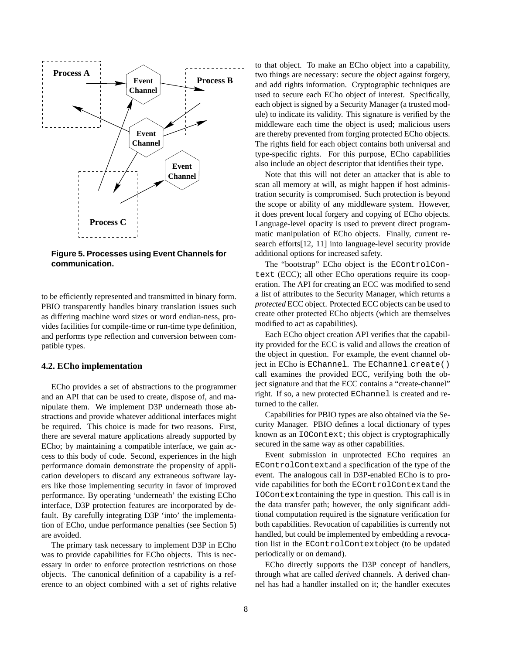

**Figure 5. Processes using Event Channels for communication.**

to be efficiently represented and transmitted in binary form. PBIO transparently handles binary translation issues such as differing machine word sizes or word endian-ness, provides facilities for compile-time or run-time type definition, and performs type reflection and conversion between compatible types.

### **4.2. ECho implementation**

ECho provides a set of abstractions to the programmer and an API that can be used to create, dispose of, and manipulate them. We implement D3P underneath those abstractions and provide whatever additional interfaces might be required. This choice is made for two reasons. First, there are several mature applications already supported by ECho; by maintaining a compatible interface, we gain access to this body of code. Second, experiences in the high performance domain demonstrate the propensity of application developers to discard any extraneous software layers like those implementing security in favor of improved performance. By operating 'underneath' the existing ECho interface, D3P protection features are incorporated by default. By carefully integrating D3P 'into' the implementation of ECho, undue performance penalties (see Section 5) are avoided.

The primary task necessary to implement D3P in ECho was to provide capabilities for ECho objects. This is necessary in order to enforce protection restrictions on those objects. The canonical definition of a capability is a reference to an object combined with a set of rights relative to that object. To make an ECho object into a capability, two things are necessary: secure the object against forgery, and add rights information. Cryptographic techniques are used to secure each ECho object of interest. Specifically, each object is signed by a Security Manager (a trusted module) to indicate its validity. This signature is verified by the middleware each time the object is used; malicious users are thereby prevented from forging protected ECho objects. The rights field for each object contains both universal and type-specific rights. For this purpose, ECho capabilities also include an object descriptor that identifies their type.

Note that this will not deter an attacker that is able to scan all memory at will, as might happen if host administration security is compromised. Such protection is beyond the scope or ability of any middleware system. However, it does prevent local forgery and copying of ECho objects. Language-level opacity is used to prevent direct programmatic manipulation of ECho objects. Finally, current research efforts[12, 11] into language-level security provide additional options for increased safety.

The "bootstrap" ECho object is the EControlContext (ECC); all other ECho operations require its cooperation. The API for creating an ECC was modified to send a list of attributes to the Security Manager, which returns a *protected* ECC object. Protected ECC objects can be used to create other protected ECho objects (which are themselves modified to act as capabilities).

Each ECho object creation API verifies that the capability provided for the ECC is valid and allows the creation of the object in question. For example, the event channel object in ECho is EChannel. The EChannel create() call examines the provided ECC, verifying both the object signature and that the ECC contains a "create-channel" right. If so, a new protected EChannel is created and returned to the caller.

Capabilities for PBIO types are also obtained via the Security Manager. PBIO defines a local dictionary of types known as an IOContext; this object is cryptographically secured in the same way as other capabilities.

Event submission in unprotected ECho requires an EControlContextand a specification of the type of the event. The analogous call in D3P-enabled ECho is to provide capabilities for both the EControlContextand the IOContextcontaining the type in question. This call is in the data transfer path; however, the only significant additional computation required is the signature verification for both capabilities. Revocation of capabilities is currently not handled, but could be implemented by embedding a revocation list in the EControlContextobject (to be updated periodically or on demand).

ECho directly supports the D3P concept of handlers, through what are called *derived* channels. A derived channel has had a handler installed on it; the handler executes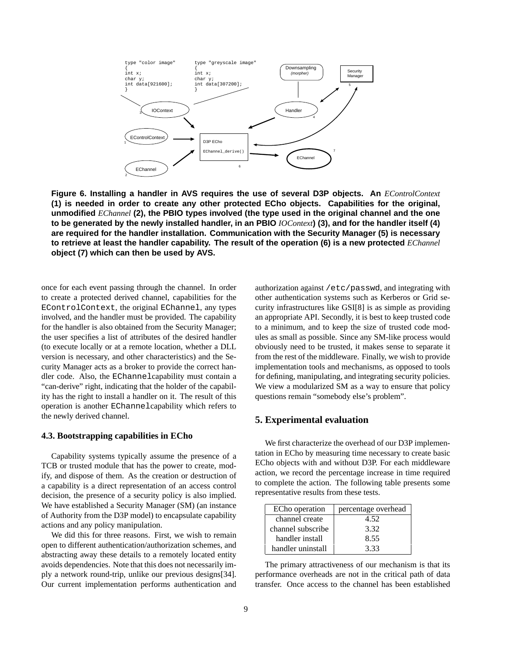

**Figure 6. Installing a handler in AVS requires the use of several D3P objects. An** *EControlContext* **(1) is needed in order to create any other protected ECho objects. Capabilities for the original, unmodified** *EChannel* **(2), the PBIO types involved (the type used in the original channel and the one** to be generated by the newly installed handler, in an PBIO  $IOContext$  (3), and for the handler itself (4) **are required for the handler installation. Communication with the Security Manager (5) is necessary** to retrieve at least the handler capability. The result of the operation (6) is a new protected EChannel **object (7) which can then be used by AVS.**

once for each event passing through the channel. In order to create a protected derived channel, capabilities for the EControlContext, the original EChannel, any types involved, and the handler must be provided. The capability for the handler is also obtained from the Security Manager; the user specifies a list of attributes of the desired handler (to execute locally or at a remote location, whether a DLL version is necessary, and other characteristics) and the Security Manager acts as a broker to provide the correct handler code. Also, the EChannelcapability must contain a "can-derive" right, indicating that the holder of the capability has the right to install a handler on it. The result of this operation is another EChannelcapability which refers to the newly derived channel.

#### **4.3. Bootstrapping capabilities in ECho**

Capability systems typically assume the presence of a TCB or trusted module that has the power to create, modify, and dispose of them. As the creation or destruction of a capability is a direct representation of an access control decision, the presence of a security policy is also implied. We have established a Security Manager (SM) (an instance of Authority from the D3P model) to encapsulate capability actions and any policy manipulation.

We did this for three reasons. First, we wish to remain open to different authentication/authorization schemes, and abstracting away these details to a remotely located entity avoids dependencies. Note that this does not necessarily imply a network round-trip, unlike our previous designs[34]. Our current implementation performs authentication and authorization against /etc/passwd, and integrating with other authentication systems such as Kerberos or Grid security infrastructures like GSI[8] is as simple as providing an appropriate API. Secondly, it is best to keep trusted code to a minimum, and to keep the size of trusted code modules as small as possible. Since any SM-like process would obviously need to be trusted, it makes sense to separate it from the rest of the middleware. Finally, we wish to provide implementation tools and mechanisms, as opposed to tools for defining, manipulating, and integrating security policies. We view a modularized SM as a way to ensure that policy questions remain "somebody else's problem".

### **5. Experimental evaluation**

We first characterize the overhead of our D3P implementation in ECho by measuring time necessary to create basic ECho objects with and without D3P. For each middleware action, we record the percentage increase in time required to complete the action. The following table presents some representative results from these tests.

| ECho operation    | percentage overhead |
|-------------------|---------------------|
| channel create    | 4.52                |
| channel subscribe | 3.32                |
| handler install   | 8.55                |
| handler uninstall | 3.33                |

The primary attractiveness of our mechanism is that its performance overheads are not in the critical path of data transfer. Once access to the channel has been established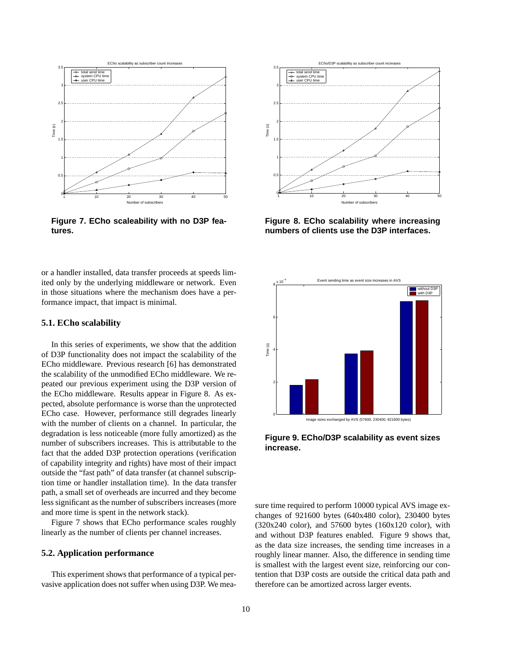

**Figure 7. ECho scaleability with no D3P features.**

or a handler installed, data transfer proceeds at speeds limited only by the underlying middleware or network. Even in those situations where the mechanism does have a performance impact, that impact is minimal.

### **5.1. ECho scalability**

In this series of experiments, we show that the addition of D3P functionality does not impact the scalability of the ECho middleware. Previous research [6] has demonstrated the scalability of the unmodified ECho middleware. We repeated our previous experiment using the D3P version of the ECho middleware. Results appear in Figure 8. As expected, absolute performance is worse than the unprotected ECho case. However, performance still degrades linearly with the number of clients on a channel. In particular, the degradation is less noticeable (more fully amortized) as the number of subscribers increases. This is attributable to the fact that the added D3P protection operations (verification of capability integrity and rights) have most of their impact outside the "fast path" of data transfer (at channel subscription time or handler installation time). In the data transfer path, a small set of overheads are incurred and they become less significant as the number of subscribers increases (more and more time is spent in the network stack).

Figure 7 shows that ECho performance scales roughly linearly as the number of clients per channel increases.

### **5.2. Application performance**

This experiment shows that performance of a typical pervasive application does not suffer when using D3P. We mea-



**Figure 8. ECho scalability where increasing numbers of clients use the D3P interfaces.**







sure time required to perform 10000 typical AVS image exchanges of 921600 bytes (640x480 color), 230400 bytes  $(320x240 \text{ color})$ , and  $57600 \text{ bytes } (160x120 \text{ color})$ , with and without D3P features enabled. Figure 9 shows that, as the data size increases, the sending time increases in a roughly linear manner. Also, the difference in sending time is smallest with the largest event size, reinforcing our contention that D3P costs are outside the critical data path and therefore can be amortized across larger events.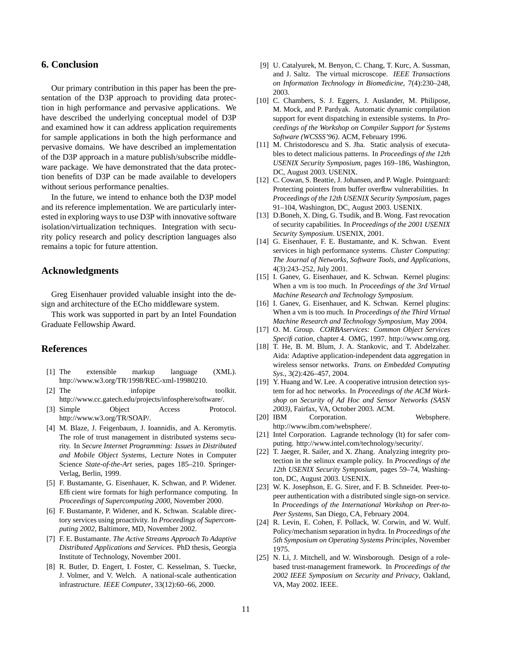# **6. Conclusion**

Our primary contribution in this paper has been the presentation of the D3P approach to providing data protection in high performance and pervasive applications. We have described the underlying conceptual model of D3P and examined how it can address application requirements for sample applications in both the high performance and pervasive domains. We have described an implementation of the D3P approach in a mature publish/subscribe middleware package. We have demonstrated that the data protection benefits of D3P can be made available to developers without serious performance penalties.

In the future, we intend to enhance both the D3P model and its reference implementation. We are particularly interested in exploring ways to use D3P with innovative software isolation/virtualization techniques. Integration with security policy research and policy description languages also remains a topic for future attention.

# **Acknowledgments**

Greg Eisenhauer provided valuable insight into the design and architecture of the ECho middleware system.

This work was supported in part by an Intel Foundation Graduate Fellowship Award.

### **References**

- [1] The extensible markup language (XML). http://www.w3.org/TR/1998/REC-xml-19980210.
- [2] The informetheus informetheus toolkit. http://www.cc.gatech.edu/projects/infosphere/software/.
- [3] Simple Object Access Protocol. http://www.w3.org/TR/SOAP/.
- [4] M. Blaze, J. Feigenbaum, J. Ioannidis, and A. Keromytis. The role of trust management in distributed systems security. In *Secure Internet Programming: Issues in Distributed and Mobile Object Systems*, Lecture Notes in Computer Science *State-of-the-Art* series, pages 185–210. Springer-Verlag, Berlin, 1999.
- [5] F. Bustamante, G. Eisenhauer, K. Schwan, and P. Widener. Efficient wire formats for high performance computing. In *Proceedings of Supercomputing 2000*, November 2000.
- [6] F. Bustamante, P. Widener, and K. Schwan. Scalable directory services using proactivity. In *Proceedings of Supercomputing 2002*, Baltimore, MD, November 2002.
- [7] F. E. Bustamante. *The Active Streams Approach To Adaptive Distributed Applications and Services*. PhD thesis, Georgia Institute of Technology, November 2001.
- [8] R. Butler, D. Engert, I. Foster, C. Kesselman, S. Tuecke, J. Volmer, and V. Welch. A national-scale authentication infrastructure. *IEEE Computer*, 33(12):60–66, 2000.
- [9] U. Catalyurek, M. Benyon, C. Chang, T. Kurc, A. Sussman, and J. Saltz. The virtual microscope. *IEEE Transactions on Information Technology in Biomedicine*, 7(4):230–248, 2003.
- [10] C. Chambers, S. J. Eggers, J. Auslander, M. Philipose, M. Mock, and P. Pardyak. Automatic dynamic compilation support for event dispatching in extensible systems. In *Proceedings of the Workshop on Compiler Support for Systems Software (WCSSS'96)*. ACM, February 1996.
- [11] M. Christodorescu and S. Jha. Static analysis of executables to detect malicious patterns. In *Proceedings of the 12th USENIX Security Symposium*, pages 169–186, Washington, DC, August 2003. USENIX.
- [12] C. Cowan, S. Beattie, J. Johansen, and P. Wagle. Pointguard: Protecting pointers from buffer overfbw vulnerabilities. In *Proceedings of the 12th USENIX Security Symposium*, pages 91–104, Washington, DC, August 2003. USENIX.
- [13] D.Boneh, X. Ding, G. Tsudik, and B. Wong. Fast revocation of security capabilities. In *Proceedings of the 2001 USENIX Security Symposium*. USENIX, 2001.
- [14] G. Eisenhauer, F. E. Bustamante, and K. Schwan. Event services in high performance systems. *Cluster Computing: The Journal of Networks, Software Tools, and Applications*, 4(3):243–252, July 2001.
- [15] I. Ganev, G. Eisenhauer, and K. Schwan. Kernel plugins: When a vm is too much. In *Proceedings of the 3rd Virtual Machine Research and Technology Symposium*.
- [16] I. Ganev, G. Eisenhauer, and K. Schwan. Kernel plugins: When a vm is too much. In *Proceedings of the Third Virtual Machine Research and Technology Symposium*, May 2004.
- [17] O. M. Group. *CORBAservices: Common Object Services Specification*, chapter 4. OMG, 1997. http://www.omg.org.
- [18] T. He, B. M. Blum, J. A. Stankovic, and T. Abdelzaher. Aida: Adaptive application-independent data aggregation in wireless sensor networks. *Trans. on Embedded Computing Sys.*, 3(2):426–457, 2004.
- [19] Y. Huang and W. Lee. A cooperative intrusion detection system for ad hoc networks. In *Proceedings of the ACM Workshop on Security of Ad Hoc and Sensor Networks (SASN 2003)*, Fairfax, VA, October 2003. ACM.
- [20] IBM Corporation. Websphere. http://www.ibm.com/websphere/.
- [21] Intel Corporation. Lagrande technology (lt) for safer computing. http://www.intel.com/technology/security/.
- [22] T. Jaeger, R. Sailer, and X. Zhang. Analyzing integrity protection in the selinux example policy. In *Proceedings of the 12th USENIX Security Symposium*, pages 59–74, Washington, DC, August 2003. USENIX.
- [23] W. K. Josephson, E. G. Sirer, and F. B. Schneider. Peer-topeer authentication with a distributed single sign-on service. In *Proceedings of the International Workshop on Peer-to-Peer Systems*, San Diego, CA, February 2004.
- [24] R. Levin, E. Cohen, F. Pollack, W. Corwin, and W. Wulf. Policy/mechanism separation in hydra. In *Proceedings of the 5th Symposium on Operating Systems Principles*, November 1975.
- [25] N. Li, J. Mitchell, and W. Winsborough. Design of a rolebased trust-management framework. In *Proceedings of the 2002 IEEE Symposium on Security and Privacy*, Oakland, VA, May 2002. IEEE.